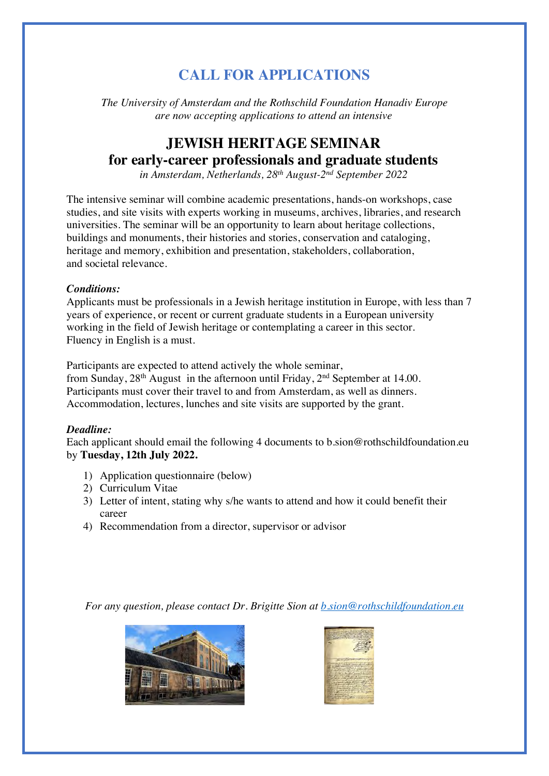## **CALL FOR APPLICATIONS**

*The University of Amsterdam and the Rothschild Foundation Hanadiv Europe are now accepting applications to attend an intensive*

### **JEWISH HERITAGE SEMINAR for early-career professionals and graduate students**

*in Amsterdam, Netherlands, 28th August-2 nd September 2022*

The intensive seminar will combine academic presentations, hands-on workshops, case studies, and site visits with experts working in museums, archives, libraries, and research universities. The seminar will be an opportunity to learn about heritage collections, buildings and monuments, their histories and stories, conservation and cataloging, heritage and memory, exhibition and presentation, stakeholders, collaboration, and societal relevance.

#### *Conditions:*

Applicants must be professionals in a Jewish heritage institution in Europe, with less than 7 years of experience, or recent or current graduate students in a European university working in the field of Jewish heritage or contemplating a career in this sector. Fluency in English is a must.

Participants are expected to attend actively the whole seminar, from Sunday, 28<sup>th</sup> August in the afternoon until Friday, 2<sup>nd</sup> September at 14.00. Participants must cover their travel to and from Amsterdam, as well as dinners. Accommodation, lectures, lunches and site visits are supported by the grant.

#### *Deadline:*

Each applicant should email the following 4 documents to b.sion@rothschildfoundation.eu by **Tuesday, 12th July 2022.** 

- 1) Application questionnaire (below)
- 2) Curriculum Vitae
- 3) Letter of intent, stating why s/he wants to attend and how it could benefit their career
- 4) Recommendation from a director, supervisor or advisor

*For any question, please contact Dr. Brigitte Sion at b.sion@rothschildfoundation.eu*